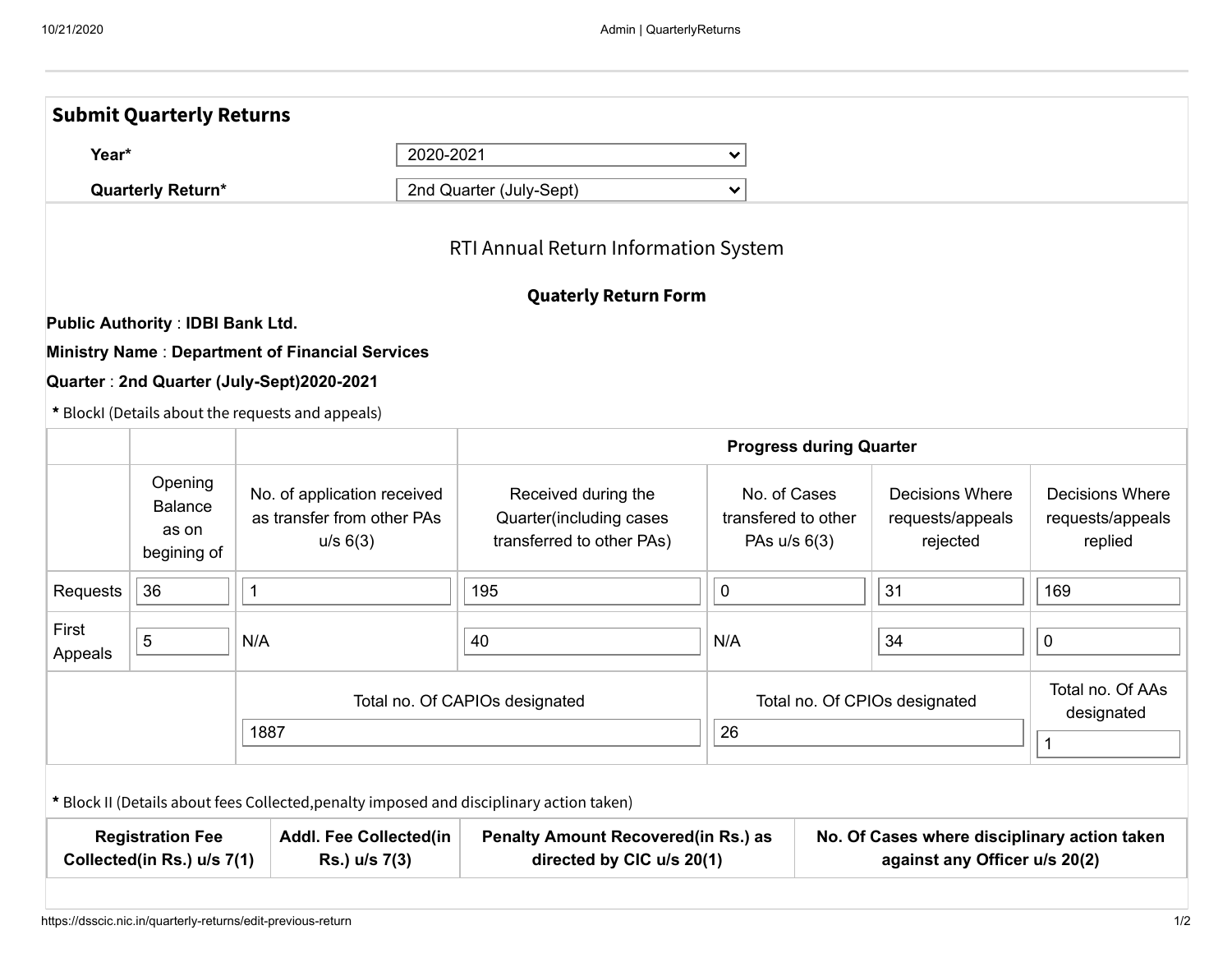|                                                                                                         | <b>Submit Quarterly Returns</b>                   |                                                                                          |                                                                             |                                                                               |  |                                                        |                                                       |  |  |
|---------------------------------------------------------------------------------------------------------|---------------------------------------------------|------------------------------------------------------------------------------------------|-----------------------------------------------------------------------------|-------------------------------------------------------------------------------|--|--------------------------------------------------------|-------------------------------------------------------|--|--|
| 2020-2021<br>Year*<br><b>Quarterly Return*</b>                                                          |                                                   |                                                                                          | ⋎                                                                           |                                                                               |  |                                                        |                                                       |  |  |
|                                                                                                         |                                                   |                                                                                          | 2nd Quarter (July-Sept)                                                     | $\checkmark$                                                                  |  |                                                        |                                                       |  |  |
|                                                                                                         |                                                   |                                                                                          | RTI Annual Return Information System                                        |                                                                               |  |                                                        |                                                       |  |  |
|                                                                                                         |                                                   |                                                                                          | <b>Quaterly Return Form</b>                                                 |                                                                               |  |                                                        |                                                       |  |  |
|                                                                                                         | <b>Public Authority: IDBI Bank Ltd.</b>           |                                                                                          |                                                                             |                                                                               |  |                                                        |                                                       |  |  |
|                                                                                                         |                                                   | <b>Ministry Name: Department of Financial Services</b>                                   |                                                                             |                                                                               |  |                                                        |                                                       |  |  |
|                                                                                                         |                                                   | Quarter: 2nd Quarter (July-Sept)2020-2021                                                |                                                                             |                                                                               |  |                                                        |                                                       |  |  |
|                                                                                                         |                                                   | * BlockI (Details about the requests and appeals)                                        |                                                                             |                                                                               |  |                                                        |                                                       |  |  |
|                                                                                                         |                                                   |                                                                                          |                                                                             | <b>Progress during Quarter</b>                                                |  |                                                        |                                                       |  |  |
|                                                                                                         | Opening<br><b>Balance</b><br>as on<br>begining of | No. of application received<br>as transfer from other PAs<br>u/s 6(3)                    | Received during the<br>Quarter(including cases<br>transferred to other PAs) | No. of Cases<br>transfered to other<br>PAs u/s 6(3)                           |  | <b>Decisions Where</b><br>requests/appeals<br>rejected | <b>Decisions Where</b><br>requests/appeals<br>replied |  |  |
| Requests                                                                                                | 36                                                | 1                                                                                        | 195                                                                         | $\mathbf 0$                                                                   |  | 31                                                     | 169                                                   |  |  |
| First<br>Appeals                                                                                        | 5                                                 | N/A                                                                                      | 40                                                                          | N/A<br>Total no. Of CPIOs designated                                          |  | 34                                                     | $\pmb{0}$                                             |  |  |
|                                                                                                         |                                                   |                                                                                          | Total no. Of CAPIOs designated                                              |                                                                               |  |                                                        | Total no. Of AAs<br>designated                        |  |  |
|                                                                                                         |                                                   | 1887                                                                                     | 26                                                                          |                                                                               |  |                                                        | $\mathbf{1}$                                          |  |  |
|                                                                                                         |                                                   | * Block II (Details about fees Collected, penalty imposed and disciplinary action taken) |                                                                             |                                                                               |  |                                                        |                                                       |  |  |
| <b>Registration Fee</b><br><b>Addl. Fee Collected(in</b><br>Collected(in Rs.) u/s 7(1)<br>Rs.) u/s 7(3) |                                                   |                                                                                          | <b>Penalty Amount Recovered(in Rs.) as</b><br>directed by CIC u/s 20(1)     | No. Of Cases where disciplinary action taken<br>against any Officer u/s 20(2) |  |                                                        |                                                       |  |  |